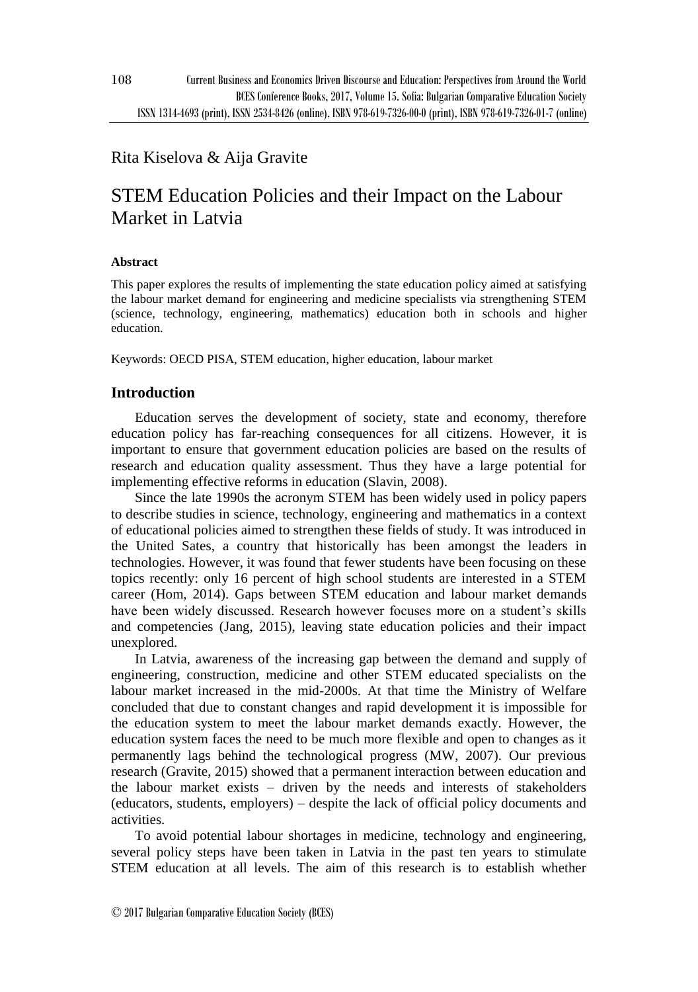# Rita Kiselova & Aija Gravite

# STEM Education Policies and their Impact on the Labour Market in Latvia

#### **Abstract**

This paper explores the results of implementing the state education policy aimed at satisfying the labour market demand for engineering and medicine specialists via strengthening STEM (science, technology, engineering, mathematics) education both in schools and higher education.

Keywords: OECD PISA, STEM education, higher education, labour market

## **Introduction**

Education serves the development of society, state and economy, therefore education policy has far-reaching consequences for all citizens. However, it is important to ensure that government education policies are based on the results of research and education quality assessment. Thus they have a large potential for implementing effective reforms in education (Slavin, 2008).

Since the late 1990s the acronym STEM has been widely used in policy papers to describe studies in science, technology, engineering and mathematics in a context of educational policies aimed to strengthen these fields of study. It was introduced in the United Sates, a country that historically has been amongst the leaders in technologies. However, it was found that fewer students have been focusing on these topics recently: only 16 percent of high school students are interested in a STEM career (Hom, 2014). Gaps between STEM education and labour market demands have been widely discussed. Research however focuses more on a student's skills and competencies (Jang, 2015), leaving state education policies and their impact unexplored.

In Latvia, awareness of the increasing gap between the demand and supply of engineering, construction, medicine and other STEM educated specialists on the labour market increased in the mid-2000s. At that time the Ministry of Welfare concluded that due to constant changes and rapid development it is impossible for the education system to meet the labour market demands exactly. However, the education system faces the need to be much more flexible and open to changes as it permanently lags behind the technological progress (MW, 2007). Our previous research (Gravite, 2015) showed that a permanent interaction between education and the labour market exists – driven by the needs and interests of stakeholders (educators, students, employers) – despite the lack of official policy documents and activities.

To avoid potential labour shortages in medicine, technology and engineering, several policy steps have been taken in Latvia in the past ten years to stimulate STEM education at all levels. The aim of this research is to establish whether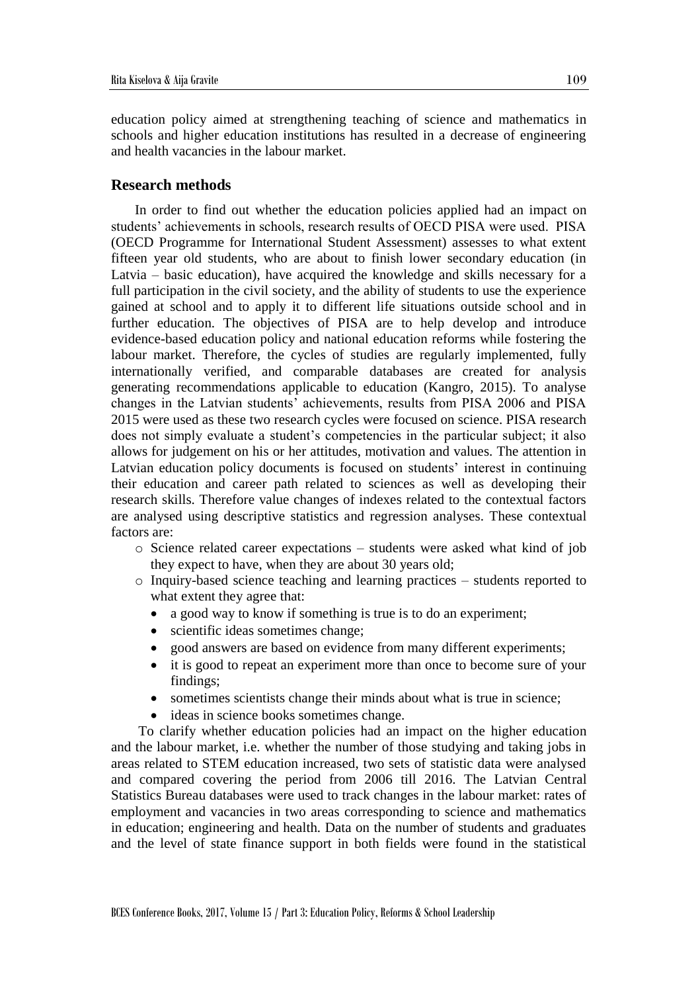education policy aimed at strengthening teaching of science and mathematics in schools and higher education institutions has resulted in a decrease of engineering and health vacancies in the labour market.

### **Research methods**

In order to find out whether the education policies applied had an impact on students' achievements in schools, research results of OECD PISA were used. PISA (OECD Programme for International Student Assessment) assesses to what extent fifteen year old students, who are about to finish lower secondary education (in Latvia – basic education), have acquired the knowledge and skills necessary for a full participation in the civil society, and the ability of students to use the experience gained at school and to apply it to different life situations outside school and in further education. The objectives of PISA are to help develop and introduce evidence-based education policy and national education reforms while fostering the labour market. Therefore, the cycles of studies are regularly implemented, fully internationally verified, and comparable databases are created for analysis generating recommendations applicable to education (Kangro, 2015). To analyse changes in the Latvian students' achievements, results from PISA 2006 and PISA 2015 were used as these two research cycles were focused on science. PISA research does not simply evaluate a student's competencies in the particular subject; it also allows for judgement on his or her attitudes, motivation and values. The attention in Latvian education policy documents is focused on students' interest in continuing their education and career path related to sciences as well as developing their research skills. Therefore value changes of indexes related to the contextual factors are analysed using descriptive statistics and regression analyses. These contextual factors are:

- $\circ$  Science related career expectations students were asked what kind of job they expect to have, when they are about 30 years old;
- o Inquiry-based science teaching and learning practices students reported to what extent they agree that:
	- a good way to know if something is true is to do an experiment;
	- scientific ideas sometimes change;
	- good answers are based on evidence from many different experiments;
	- it is good to repeat an experiment more than once to become sure of your findings;
	- sometimes scientists change their minds about what is true in science;
	- ideas in science books sometimes change.

To clarify whether education policies had an impact on the higher education and the labour market, i.e. whether the number of those studying and taking jobs in areas related to STEM education increased, two sets of statistic data were analysed and compared covering the period from 2006 till 2016. The Latvian Central Statistics Bureau databases were used to track changes in the labour market: rates of employment and vacancies in two areas corresponding to science and mathematics in education; engineering and health. Data on the number of students and graduates and the level of state finance support in both fields were found in the statistical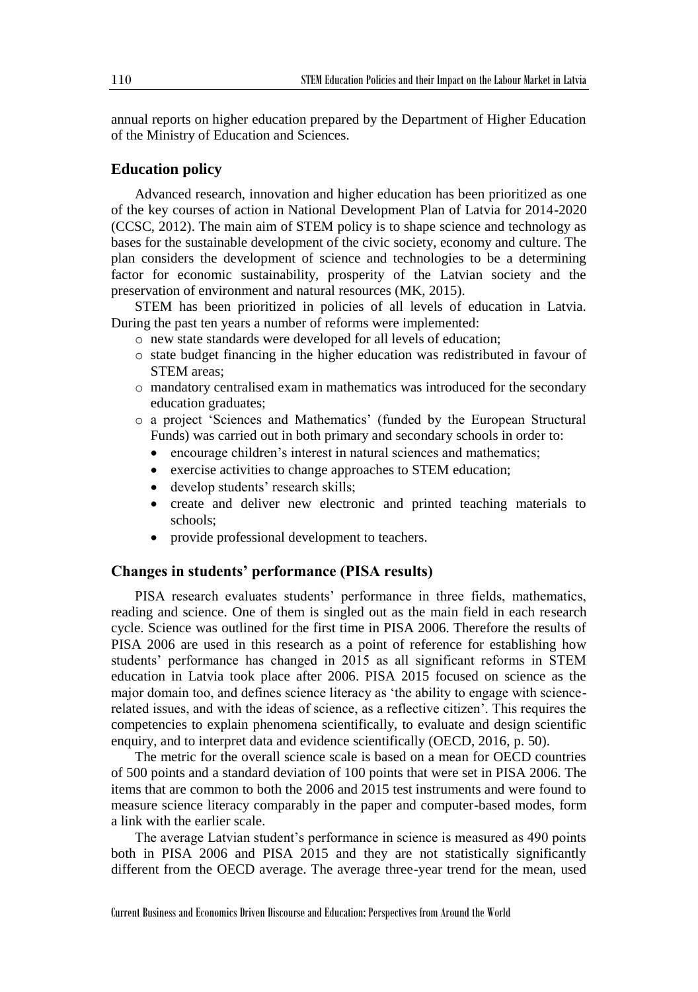annual reports on higher education prepared by the Department of Higher Education of the Ministry of Education and Sciences.

#### **Education policy**

Advanced research, innovation and higher education has been prioritized as one of the key courses of action in National Development Plan of Latvia for 2014-2020 (CCSC, 2012). The main aim of STEM policy is to shape science and technology as bases for the sustainable development of the civic society, economy and culture. The plan considers the development of science and technologies to be a determining factor for economic sustainability, prosperity of the Latvian society and the preservation of environment and natural resources (MK, 2015).

STEM has been prioritized in policies of all levels of education in Latvia. During the past ten years a number of reforms were implemented:

- o new state standards were developed for all levels of education;
- o state budget financing in the higher education was redistributed in favour of STEM areas:
- o mandatory centralised exam in mathematics was introduced for the secondary education graduates;
- o a project 'Sciences and Mathematics' (funded by the European Structural Funds) was carried out in both primary and secondary schools in order to:
	- encourage children's interest in natural sciences and mathematics;
	- exercise activities to change approaches to STEM education;
	- develop students' research skills;
	- create and deliver new electronic and printed teaching materials to schools;
	- provide professional development to teachers.

#### **Changes in students' performance (PISA results)**

PISA research evaluates students' performance in three fields, mathematics, reading and science. One of them is singled out as the main field in each research cycle. Science was outlined for the first time in PISA 2006. Therefore the results of PISA 2006 are used in this research as a point of reference for establishing how students' performance has changed in 2015 as all significant reforms in STEM education in Latvia took place after 2006. PISA 2015 focused on science as the major domain too, and defines science literacy as 'the ability to engage with sciencerelated issues, and with the ideas of science, as a reflective citizen'. This requires the competencies to explain phenomena scientifically, to evaluate and design scientific enquiry, and to interpret data and evidence scientifically (OECD, 2016, p. 50).

The metric for the overall science scale is based on a mean for OECD countries of 500 points and a standard deviation of 100 points that were set in PISA 2006. The items that are common to both the 2006 and 2015 test instruments and were found to measure science literacy comparably in the paper and computer-based modes, form a link with the earlier scale.

The average Latvian student's performance in science is measured as 490 points both in PISA 2006 and PISA 2015 and they are not statistically significantly different from the OECD average. The average three-year trend for the mean, used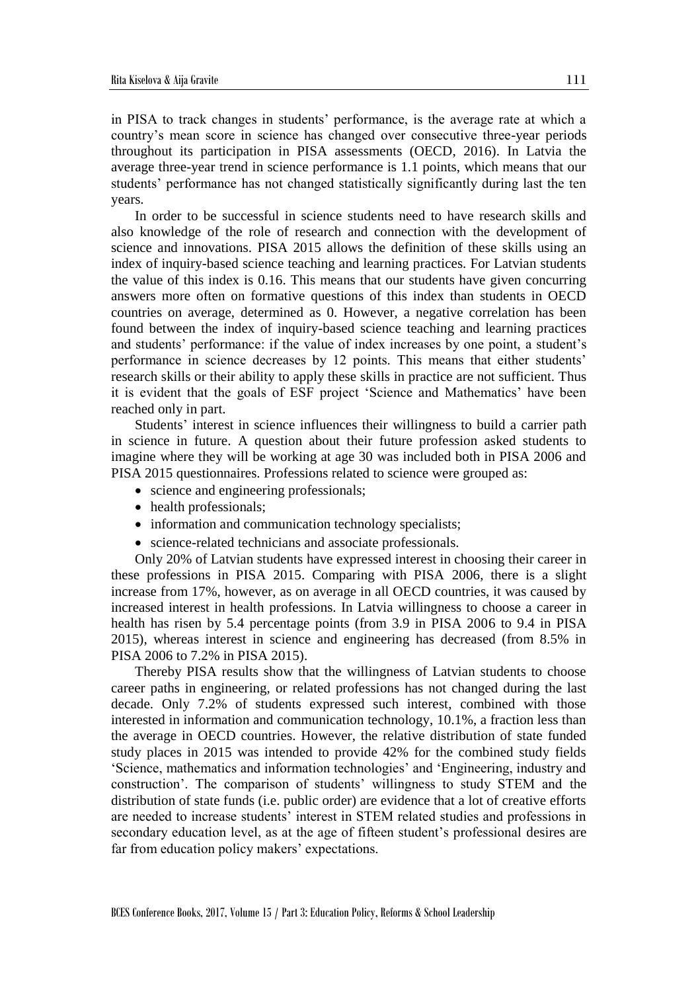in PISA to track changes in students' performance, is the average rate at which a country's mean score in science has changed over consecutive three-year periods throughout its participation in PISA assessments (OECD, 2016). In Latvia the average three-year trend in science performance is 1.1 points, which means that our students' performance has not changed statistically significantly during last the ten years.

In order to be successful in science students need to have research skills and also knowledge of the role of research and connection with the development of science and innovations. PISA 2015 allows the definition of these skills using an index of inquiry-based science teaching and learning practices. For Latvian students the value of this index is 0.16. This means that our students have given concurring answers more often on formative questions of this index than students in OECD countries on average, determined as 0. However, a negative correlation has been found between the index of inquiry-based science teaching and learning practices and students' performance: if the value of index increases by one point, a student's performance in science decreases by 12 points. This means that either students' research skills or their ability to apply these skills in practice are not sufficient. Thus it is evident that the goals of ESF project 'Science and Mathematics' have been reached only in part.

Students' interest in science influences their willingness to build a carrier path in science in future. A question about their future profession asked students to imagine where they will be working at age 30 was included both in PISA 2006 and PISA 2015 questionnaires. Professions related to science were grouped as:

- science and engineering professionals;
- health professionals;
- information and communication technology specialists;
- science-related technicians and associate professionals.

Only 20% of Latvian students have expressed interest in choosing their career in these professions in PISA 2015. Comparing with PISA 2006, there is a slight increase from 17%, however, as on average in all OECD countries, it was caused by increased interest in health professions. In Latvia willingness to choose a career in health has risen by 5.4 percentage points (from 3.9 in PISA 2006 to 9.4 in PISA 2015), whereas interest in science and engineering has decreased (from 8.5% in PISA 2006 to 7.2% in PISA 2015).

Thereby PISA results show that the willingness of Latvian students to choose career paths in engineering, or related professions has not changed during the last decade. Only 7.2% of students expressed such interest, combined with those interested in information and communication technology, 10.1%, a fraction less than the average in OECD countries. However, the relative distribution of state funded study places in 2015 was intended to provide 42% for the combined study fields 'Science, mathematics and information technologies' and 'Engineering, industry and construction'. The comparison of students' willingness to study STEM and the distribution of state funds (i.e. public order) are evidence that a lot of creative efforts are needed to increase students' interest in STEM related studies and professions in secondary education level, as at the age of fifteen student's professional desires are far from education policy makers' expectations.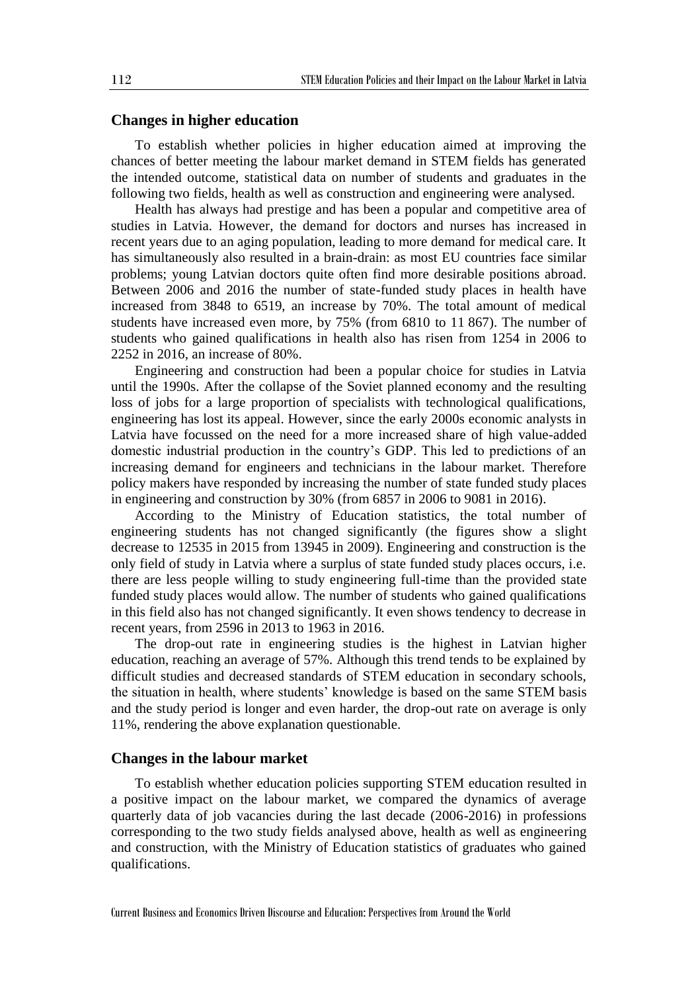#### **Changes in higher education**

To establish whether policies in higher education aimed at improving the chances of better meeting the labour market demand in STEM fields has generated the intended outcome, statistical data on number of students and graduates in the following two fields, health as well as construction and engineering were analysed.

Health has always had prestige and has been a popular and competitive area of studies in Latvia. However, the demand for doctors and nurses has increased in recent years due to an aging population, leading to more demand for medical care. It has simultaneously also resulted in a brain-drain: as most EU countries face similar problems; young Latvian doctors quite often find more desirable positions abroad. Between 2006 and 2016 the number of state-funded study places in health have increased from 3848 to 6519, an increase by 70%. The total amount of medical students have increased even more, by 75% (from 6810 to 11 867). The number of students who gained qualifications in health also has risen from 1254 in 2006 to 2252 in 2016, an increase of 80%.

Engineering and construction had been a popular choice for studies in Latvia until the 1990s. After the collapse of the Soviet planned economy and the resulting loss of jobs for a large proportion of specialists with technological qualifications, engineering has lost its appeal. However, since the early 2000s economic analysts in Latvia have focussed on the need for a more increased share of high value-added domestic industrial production in the country's GDP. This led to predictions of an increasing demand for engineers and technicians in the labour market. Therefore policy makers have responded by increasing the number of state funded study places in engineering and construction by 30% (from 6857 in 2006 to 9081 in 2016).

According to the Ministry of Education statistics, the total number of engineering students has not changed significantly (the figures show a slight decrease to 12535 in 2015 from 13945 in 2009). Engineering and construction is the only field of study in Latvia where a surplus of state funded study places occurs, i.e. there are less people willing to study engineering full-time than the provided state funded study places would allow. The number of students who gained qualifications in this field also has not changed significantly. It even shows tendency to decrease in recent years, from 2596 in 2013 to 1963 in 2016.

The drop-out rate in engineering studies is the highest in Latvian higher education, reaching an average of 57%. Although this trend tends to be explained by difficult studies and decreased standards of STEM education in secondary schools, the situation in health, where students' knowledge is based on the same STEM basis and the study period is longer and even harder, the drop-out rate on average is only 11%, rendering the above explanation questionable.

#### **Changes in the labour market**

To establish whether education policies supporting STEM education resulted in a positive impact on the labour market, we compared the dynamics of average quarterly data of job vacancies during the last decade (2006-2016) in professions corresponding to the two study fields analysed above, health as well as engineering and construction, with the Ministry of Education statistics of graduates who gained qualifications.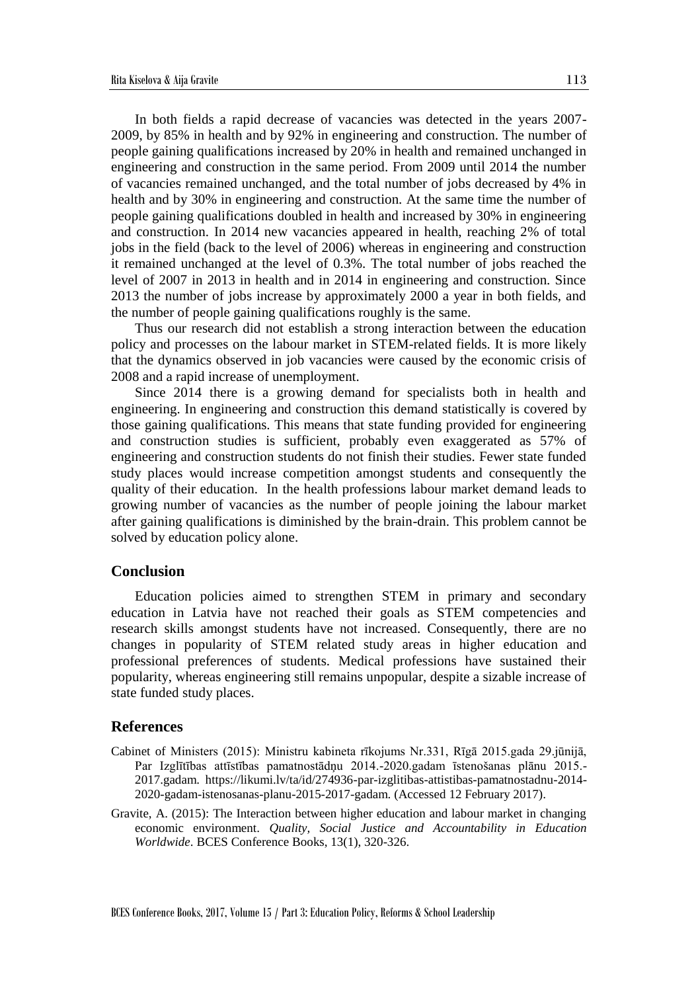In both fields a rapid decrease of vacancies was detected in the years 2007- 2009, by 85% in health and by 92% in engineering and construction. The number of people gaining qualifications increased by 20% in health and remained unchanged in engineering and construction in the same period. From 2009 until 2014 the number of vacancies remained unchanged, and the total number of jobs decreased by 4% in health and by 30% in engineering and construction. At the same time the number of people gaining qualifications doubled in health and increased by 30% in engineering and construction. In 2014 new vacancies appeared in health, reaching 2% of total jobs in the field (back to the level of 2006) whereas in engineering and construction it remained unchanged at the level of 0.3%. The total number of jobs reached the level of 2007 in 2013 in health and in 2014 in engineering and construction. Since 2013 the number of jobs increase by approximately 2000 a year in both fields, and the number of people gaining qualifications roughly is the same.

Thus our research did not establish a strong interaction between the education policy and processes on the labour market in STEM-related fields. It is more likely that the dynamics observed in job vacancies were caused by the economic crisis of 2008 and a rapid increase of unemployment.

Since 2014 there is a growing demand for specialists both in health and engineering. In engineering and construction this demand statistically is covered by those gaining qualifications. This means that state funding provided for engineering and construction studies is sufficient, probably even exaggerated as 57% of engineering and construction students do not finish their studies. Fewer state funded study places would increase competition amongst students and consequently the quality of their education. In the health professions labour market demand leads to growing number of vacancies as the number of people joining the labour market after gaining qualifications is diminished by the brain-drain. This problem cannot be solved by education policy alone.

#### **Conclusion**

Education policies aimed to strengthen STEM in primary and secondary education in Latvia have not reached their goals as STEM competencies and research skills amongst students have not increased. Consequently, there are no changes in popularity of STEM related study areas in higher education and professional preferences of students. Medical professions have sustained their popularity, whereas engineering still remains unpopular, despite a sizable increase of state funded study places.

#### **References**

- Cabinet of Ministers (2015): Ministru kabineta rīkojums Nr.331, Rīgā 2015.gada 29.jūnijā, Par Izglītības attīstības pamatnostādņu 2014.-2020.gadam īstenošanas plānu 2015.- 2017.gadam. https://likumi.lv/ta/id/274936-par-izglitibas-attistibas-pamatnostadnu-2014- 2020-gadam-istenosanas-planu-2015-2017-gadam. (Accessed 12 February 2017).
- Gravite, A. (2015): The Interaction between higher education and labour market in changing economic environment. *Quality, Social Justice and Accountability in Education Worldwide*. BCES Conference Books, 13(1), 320-326.